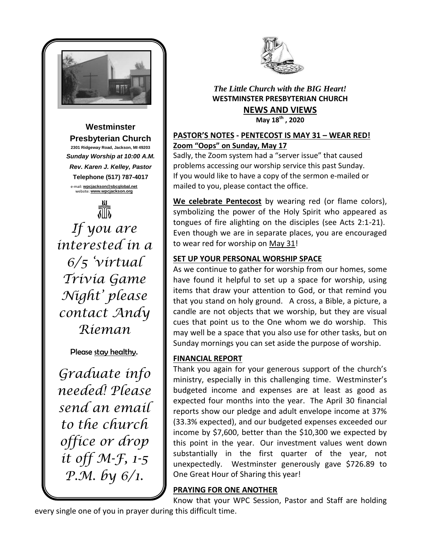

#### **Westminster Presbyterian Church 2301 Ridgeway Road, Jackson, MI 49203** *Sunday Worship at 10:00 A.M. Rev. Karen J. Kelley, Pastor* **Telephone (517) 787-4017** e-mail: **[wpcjackson@sbcglobal.net](mailto:wpcjackson@sbcglobal.net)** website: **www.wpcjackson.org**



*If you are interested in a 6/5 'virtual Trivia Game Night' please contact Andy Rieman*

Please stay healthy.

*Graduate info needed! Please send an email to the church office or drop it off M-F, 1-5 P.M. by 6/1.*



### *The Little Church with the BIG Heart!* **WESTMINSTER PRESBYTERIAN CHURCH NEWS AND VIEWS May 18th , 2020**

## **PASTOR'S NOTES - PENTECOST IS MAY 31 – WEAR RED! Zoom "Oops" on Sunday, May 17**

Sadly, the Zoom system had a "server issue" that caused problems accessing our worship service this past Sunday. If you would like to have a copy of the sermon e-mailed or mailed to you, please contact the office.

**We celebrate Pentecost** by wearing red (or flame colors), symbolizing the power of the Holy Spirit who appeared as tongues of fire alighting on the disciples (see Acts 2:1-21). Even though we are in separate places, you are encouraged to wear red for worship on May 31!

# **SET UP YOUR PERSONAL WORSHIP SPACE**

As we continue to gather for worship from our homes, some have found it helpful to set up a space for worship, using items that draw your attention to God, or that remind you that you stand on holy ground. A cross, a Bible, a picture, a candle are not objects that we worship, but they are visual cues that point us to the One whom we do worship. This may well be a space that you also use for other tasks, but on Sunday mornings you can set aside the purpose of worship.

## **FINANCIAL REPORT**

Thank you again for your generous support of the church's ministry, especially in this challenging time. Westminster's budgeted income and expenses are at least as good as expected four months into the year. The April 30 financial reports show our pledge and adult envelope income at 37% (33.3% expected), and our budgeted expenses exceeded our income by \$7,600, better than the \$10,300 we expected by this point in the year. Our investment values went down substantially in the first quarter of the year, not unexpectedly. Westminster generously gave \$726.89 to One Great Hour of Sharing this year!

# **PRAYING FOR ONE ANOTHER**

Know that your WPC Session, Pastor and Staff are holding every single one of you in prayer during this difficult time.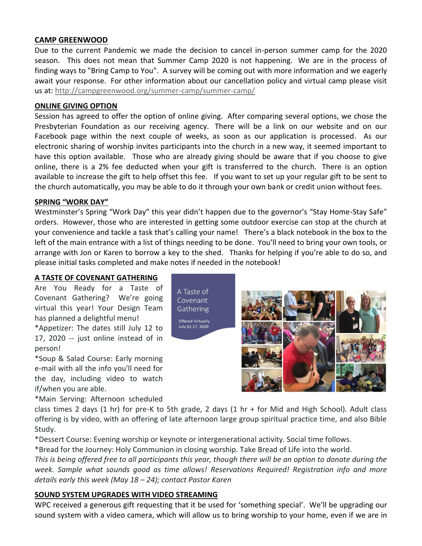#### **CAMP GREENWOOD**

Due to the current Pandemic we made the decision to cancel in-person summer camp for the 2020 season. This does not mean that Summer Camp 2020 is not happening. We are in the process of finding ways to "Bring Camp to You". A survey will be coming out with more information and we eagerly await your response. For other information about our cancellation policy and virtual camp please visit us at: [http://campgreenwood.org/summer-camp/summer-camp/](https://campgreenwood.us4.list-manage.com/track/click?u=fec26ecb409c276af03b6d3db&id=f5a0ad7a91&e=e207a75e22)

#### **ONLINE GIVING OPTION**

Session has agreed to offer the option of online giving. After comparing several options, we chose the Presbyterian Foundation as our receiving agency. There will be a link on our website and on our Facebook page within the next couple of weeks, as soon as our application is processed. As our electronic sharing of worship invites participants into the church in a new way, it seemed important to have this option available. Those who are already giving should be aware that if you choose to give online, there is a 2% fee deducted when your gift is transferred to the church. There is an option available to increase the gift to help offset this fee. If you want to set up your regular gift to be sent to the church automatically, you may be able to do it through your own bank or credit union without fees.

#### **SPRING "WORK DAY"**

Westminster's Spring "Work Day" this year didn't happen due to the governor's "Stay Home-Stay Safe" orders. However, those who are interested in getting some outdoor exercise can stop at the church at your convenience and tackle a task that's calling your name! There's a black notebook in the box to the left of the main entrance with a list of things needing to be done. You'll need to bring your own tools, or arrange with Jon or Karen to borrow a key to the shed. Thanks for helping if you're able to do so, and please initial tasks completed and make notes if needed in the notebook!

> A Taste of Covenant Gathering **Offered Virtually** July 12-17, 2020

#### **A TASTE OF COVENANT GATHERING**

Are You Ready for a Taste of Covenant Gathering? We're going virtual this year! Your Design Team has planned a delightful menu!

\*Appetizer: The dates still July 12 to 17, 2020 -- just online instead of in person!

\*Soup & Salad Course: Early morning e-mail with all the info you'll need for the day, including video to watch if/when you are able.

\*Main Serving: Afternoon scheduled

class times 2 days (1 hr) for pre-K to 5th grade, 2 days (1 hr + for Mid and High School). Adult class offering is by video, with an offering of late afternoon large group spiritual practice time, and also Bible Study.

\*Dessert Course: Evening worship or keynote or intergenerational activity. Social time follows.

\*Bread for the Journey: Holy Communion in closing worship. Take Bread of Life into the world.

*This is being offered free to all participants this year, though there will be an option to donate during the week. Sample what sounds good as time allows! Reservations Required! Registration info and more details early this week (May 18 – 24); contact Pastor Karen* 

#### **SOUND SYSTEM UPGRADES WITH VIDEO STREAMING**

WPC received a generous gift requesting that it be used for 'something special'. We'll be upgrading our sound system with a video camera, which will allow us to bring worship to your home, even if we are in